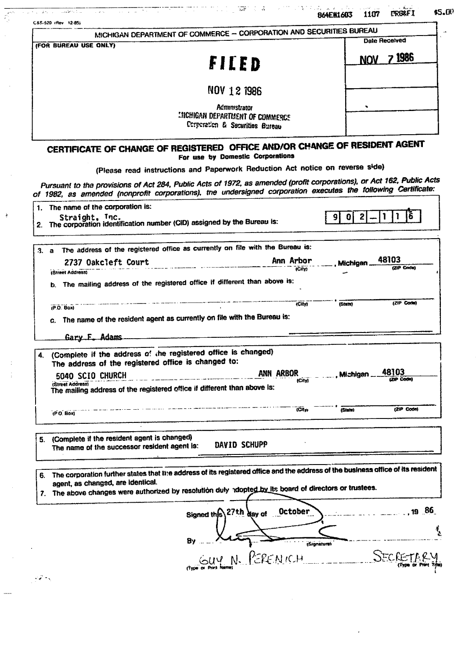| C&S-520 (Rev. 12-85)                                                                              |                                                                                                                                                                                                                                           | 1107<br><b>B64E#1603</b>               |
|---------------------------------------------------------------------------------------------------|-------------------------------------------------------------------------------------------------------------------------------------------------------------------------------------------------------------------------------------------|----------------------------------------|
|                                                                                                   | MICHIGAN DEPARTMENT OF COMMERCE - CORPORATION AND SECURITIES BUREAU                                                                                                                                                                       |                                        |
| (FOR BUREAU USE ONLY)                                                                             |                                                                                                                                                                                                                                           | Date Received                          |
|                                                                                                   | FILED                                                                                                                                                                                                                                     | <b>7</b> 1986<br><b>NOV</b>            |
|                                                                                                   | NOV 12 1986                                                                                                                                                                                                                               |                                        |
|                                                                                                   | <b>Administrator</b><br><b>LIICHIGAN DEPARTMENT OF COMMERCE</b><br>Corporation & Securities Bureau                                                                                                                                        |                                        |
|                                                                                                   | CERTIFICATE OF CHANGE OF REGISTERED OFFICE AND/OR CHANGE OF RESIDENT AGENT<br>For use by Domestic Corporations                                                                                                                            |                                        |
|                                                                                                   | (Please read instructions and Paperwork Reduction Act notice on reverse side)                                                                                                                                                             |                                        |
|                                                                                                   | Pursuant to the provisions of Act 284, Public Acts of 1972, as amended (profit corporations), or Act 162, Public Acts<br>of 1982, as amended (nonprofit corporations), tne undersigned corporation executes the following Certificate:    |                                        |
| The name of the corporation is:                                                                   |                                                                                                                                                                                                                                           |                                        |
| Straight, Inc.                                                                                    | 2. The corporation identification number (CID) assigned by the Bureau is:                                                                                                                                                                 | $\mathbf{2}$<br> 0 <br>-91             |
| 3. a                                                                                              | The address of the registered office as currently on file with the Bureau is:                                                                                                                                                             |                                        |
| 2737 Oakcleft Court<br><b>IStreet Address)</b>                                                    | Ann Arbor<br>(City)                                                                                                                                                                                                                       | 48103<br><b>Michigan</b><br>(ZIP Code) |
| $(P.O.$ Box)                                                                                      | b. The mailing address of the registered office if different than above is:<br>ICit                                                                                                                                                       | (ZIP Code)<br>(State)                  |
| c.<br>Gary F. Adams                                                                               | The name of the resident agent as currently on file with the Bureau is:                                                                                                                                                                   |                                        |
| The address of the registered office is changed to:                                               | (Complete if the address of the registered office is changed)                                                                                                                                                                             |                                        |
| 5040 SCIO CHURCH<br>(Street Address)                                                              | ANN ARBOR<br>(City)<br>The mailing address of the registered office if different than above is:                                                                                                                                           | 48103<br><b>Michigan</b>               |
| (PO Box)                                                                                          | (City)                                                                                                                                                                                                                                    | (ZIP Code)<br>(State)                  |
|                                                                                                   |                                                                                                                                                                                                                                           |                                        |
| (Complete if the resident agent is changed)<br>5.<br>The name of the successor resident agent is: | DAVID SCHUPP                                                                                                                                                                                                                              |                                        |
| 6.<br>agent, as changed, are identical.                                                           | The corporation further states that the address of its registered office and the address of the business office of its resident<br>7. The above changes were authorized by resolution duly adopted by its board of directors or trustees. |                                        |
|                                                                                                   | October<br>Signed this 27th day of                                                                                                                                                                                                        | $\sim$ 19 86                           |
|                                                                                                   | PERENICH<br>GIPI N                                                                                                                                                                                                                        | (Signature)<br>SECRETARY               |

 $\sim$   $\sim$ 

 $\frac{\sqrt{2\pi\epsilon_0^2}}{\sqrt{2\pi\epsilon_0^2}}$ 

 $\frac{1}{2}$ 

 $\frac{1}{2}$ 

 $\begin{array}{c} 1 \\ 1 \\ 1 \end{array}$ 

 $\frac{1}{2}$ 

 $\hat{\mathcal{A}}$